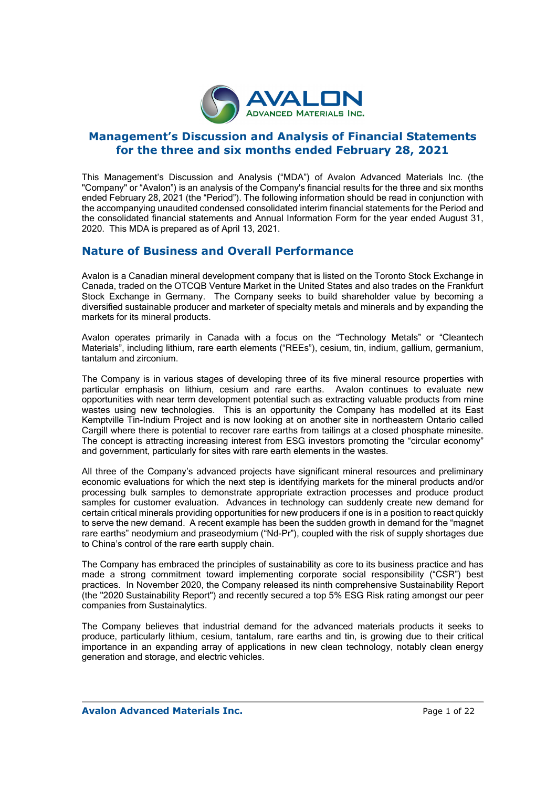

## **Management's Discussion and Analysis of Financial Statements for the three and six months ended February 28, 2021**

This Management's Discussion and Analysis ("MDA") of Avalon Advanced Materials Inc. (the "Company" or "Avalon") is an analysis of the Company's financial results for the three and six months ended February 28, 2021 (the "Period"). The following information should be read in conjunction with the accompanying unaudited condensed consolidated interim financial statements for the Period and the consolidated financial statements and Annual Information Form for the year ended August 31, 2020. This MDA is prepared as of April 13, 2021.

## **Nature of Business and Overall Performance**

Avalon is a Canadian mineral development company that is listed on the Toronto Stock Exchange in Canada, traded on the OTCQB Venture Market in the United States and also trades on the Frankfurt Stock Exchange in Germany. The Company seeks to build shareholder value by becoming a diversified sustainable producer and marketer of specialty metals and minerals and by expanding the markets for its mineral products.

Avalon operates primarily in Canada with a focus on the "Technology Metals" or "Cleantech Materials", including lithium, rare earth elements ("REEs"), cesium, tin, indium, gallium, germanium, tantalum and zirconium.

The Company is in various stages of developing three of its five mineral resource properties with particular emphasis on lithium, cesium and rare earths. Avalon continues to evaluate new opportunities with near term development potential such as extracting valuable products from mine wastes using new technologies. This is an opportunity the Company has modelled at its East Kemptville Tin-Indium Project and is now looking at on another site in northeastern Ontario called Cargill where there is potential to recover rare earths from tailings at a closed phosphate minesite. The concept is attracting increasing interest from ESG investors promoting the "circular economy" and government, particularly for sites with rare earth elements in the wastes.

All three of the Company's advanced projects have significant mineral resources and preliminary economic evaluations for which the next step is identifying markets for the mineral products and/or processing bulk samples to demonstrate appropriate extraction processes and produce product samples for customer evaluation. Advances in technology can suddenly create new demand for certain critical minerals providing opportunities for new producers if one is in a position to react quickly to serve the new demand. A recent example has been the sudden growth in demand for the "magnet rare earths" neodymium and praseodymium ("Nd-Pr"), coupled with the risk of supply shortages due to China's control of the rare earth supply chain.

The Company has embraced the principles of sustainability as core to its business practice and has made a strong commitment toward implementing corporate social responsibility ("CSR") best practices. In November 2020, the Company released its ninth comprehensive Sustainability Report (the "2020 Sustainability Report") and recently secured a top 5% ESG Risk rating amongst our peer companies from Sustainalytics.

The Company believes that industrial demand for the advanced materials products it seeks to produce, particularly lithium, cesium, tantalum, rare earths and tin, is growing due to their critical importance in an expanding array of applications in new clean technology, notably clean energy generation and storage, and electric vehicles.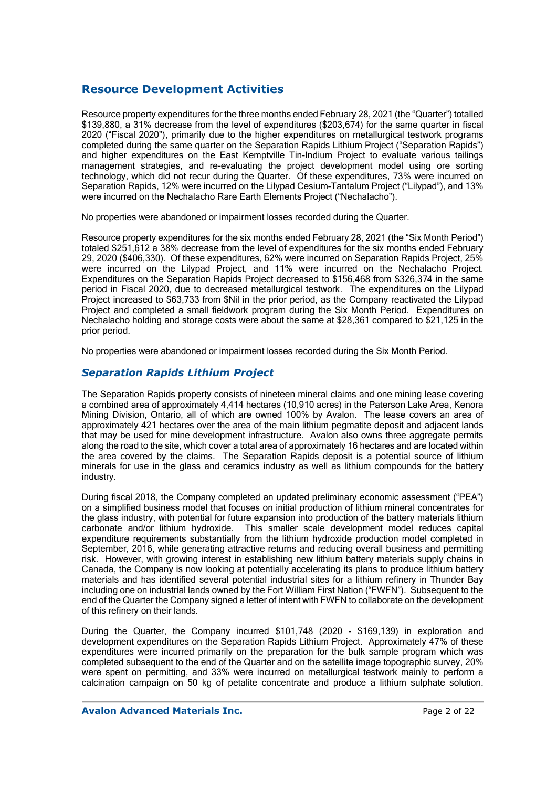# **Resource Development Activities**

Resource property expenditures for the three months ended February 28, 2021 (the "Quarter") totalled \$139,880, a 31% decrease from the level of expenditures (\$203,674) for the same quarter in fiscal 2020 ("Fiscal 2020"), primarily due to the higher expenditures on metallurgical testwork programs completed during the same quarter on the Separation Rapids Lithium Project ("Separation Rapids") and higher expenditures on the East Kemptville Tin-Indium Project to evaluate various tailings management strategies, and re-evaluating the project development model using ore sorting technology, which did not recur during the Quarter. Of these expenditures, 73% were incurred on Separation Rapids, 12% were incurred on the Lilypad Cesium-Tantalum Project ("Lilypad"), and 13% were incurred on the Nechalacho Rare Earth Elements Project ("Nechalacho").

No properties were abandoned or impairment losses recorded during the Quarter.

Resource property expenditures for the six months ended February 28, 2021 (the "Six Month Period") totaled \$251,612 a 38% decrease from the level of expenditures for the six months ended February 29, 2020 (\$406,330). Of these expenditures, 62% were incurred on Separation Rapids Project, 25% were incurred on the Lilypad Project, and 11% were incurred on the Nechalacho Project. Expenditures on the Separation Rapids Project decreased to \$156,468 from \$326,374 in the same period in Fiscal 2020, due to decreased metallurgical testwork. The expenditures on the Lilypad Project increased to \$63,733 from \$Nil in the prior period, as the Company reactivated the Lilypad Project and completed a small fieldwork program during the Six Month Period. Expenditures on Nechalacho holding and storage costs were about the same at \$28,361 compared to \$21,125 in the prior period.

No properties were abandoned or impairment losses recorded during the Six Month Period.

## *Separation Rapids Lithium Project*

The Separation Rapids property consists of nineteen mineral claims and one mining lease covering a combined area of approximately 4,414 hectares (10,910 acres) in the Paterson Lake Area, Kenora Mining Division, Ontario, all of which are owned 100% by Avalon. The lease covers an area of approximately 421 hectares over the area of the main lithium pegmatite deposit and adjacent lands that may be used for mine development infrastructure. Avalon also owns three aggregate permits along the road to the site, which cover a total area of approximately 16 hectares and are located within the area covered by the claims. The Separation Rapids deposit is a potential source of lithium minerals for use in the glass and ceramics industry as well as lithium compounds for the battery industry.

During fiscal 2018, the Company completed an updated preliminary economic assessment ("PEA") on a simplified business model that focuses on initial production of lithium mineral concentrates for the glass industry, with potential for future expansion into production of the battery materials lithium carbonate and/or lithium hydroxide. This smaller scale development model reduces capital expenditure requirements substantially from the lithium hydroxide production model completed in September, 2016, while generating attractive returns and reducing overall business and permitting risk. However, with growing interest in establishing new lithium battery materials supply chains in Canada, the Company is now looking at potentially accelerating its plans to produce lithium battery materials and has identified several potential industrial sites for a lithium refinery in Thunder Bay including one on industrial lands owned by the Fort William First Nation ("FWFN"). Subsequent to the end of the Quarter the Company signed a letter of intent with FWFN to collaborate on the development of this refinery on their lands.

During the Quarter, the Company incurred \$101,748 (2020 - \$169,139) in exploration and development expenditures on the Separation Rapids Lithium Project. Approximately 47% of these expenditures were incurred primarily on the preparation for the bulk sample program which was completed subsequent to the end of the Quarter and on the satellite image topographic survey, 20% were spent on permitting, and 33% were incurred on metallurgical testwork mainly to perform a calcination campaign on 50 kg of petalite concentrate and produce a lithium sulphate solution.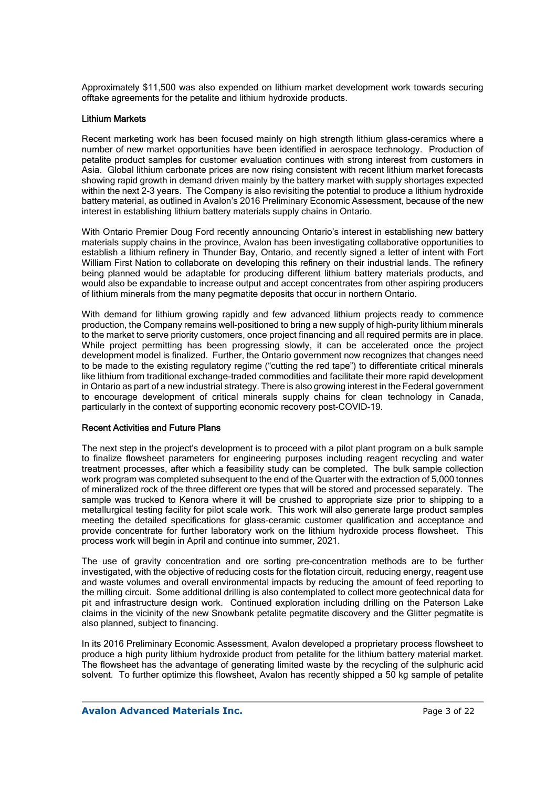Approximately \$11,500 was also expended on lithium market development work towards securing offtake agreements for the petalite and lithium hydroxide products.

#### Lithium Markets

Recent marketing work has been focused mainly on high strength lithium glass-ceramics where a number of new market opportunities have been identified in aerospace technology. Production of petalite product samples for customer evaluation continues with strong interest from customers in Asia. Global lithium carbonate prices are now rising consistent with recent lithium market forecasts showing rapid growth in demand driven mainly by the battery market with supply shortages expected within the next 2-3 years. The Company is also revisiting the potential to produce a lithium hydroxide battery material, as outlined in Avalon's 2016 Preliminary Economic Assessment, because of the new interest in establishing lithium battery materials supply chains in Ontario.

With Ontario Premier Doug Ford recently announcing Ontario's interest in establishing new battery materials supply chains in the province, Avalon has been investigating collaborative opportunities to establish a lithium refinery in Thunder Bay, Ontario, and recently signed a letter of intent with Fort William First Nation to collaborate on developing this refinery on their industrial lands. The refinery being planned would be adaptable for producing different lithium battery materials products, and would also be expandable to increase output and accept concentrates from other aspiring producers of lithium minerals from the many pegmatite deposits that occur in northern Ontario.

With demand for lithium growing rapidly and few advanced lithium projects ready to commence production, the Company remains well-positioned to bring a new supply of high-purity lithium minerals to the market to serve priority customers, once project financing and all required permits are in place. While project permitting has been progressing slowly, it can be accelerated once the project development model is finalized. Further, the Ontario government now recognizes that changes need to be made to the existing regulatory regime ("cutting the red tape") to differentiate critical minerals like lithium from traditional exchange-traded commodities and facilitate their more rapid development in Ontario as part of a new industrial strategy. There is also growing interest in the Federal government to encourage development of critical minerals supply chains for clean technology in Canada, particularly in the context of supporting economic recovery post-COVID-19.

### Recent Activities and Future Plans

The next step in the project's development is to proceed with a pilot plant program on a bulk sample to finalize flowsheet parameters for engineering purposes including reagent recycling and water treatment processes, after which a feasibility study can be completed. The bulk sample collection work program was completed subsequent to the end of the Quarter with the extraction of 5,000 tonnes of mineralized rock of the three different ore types that will be stored and processed separately. The sample was trucked to Kenora where it will be crushed to appropriate size prior to shipping to a metallurgical testing facility for pilot scale work. This work will also generate large product samples meeting the detailed specifications for glass-ceramic customer qualification and acceptance and provide concentrate for further laboratory work on the lithium hydroxide process flowsheet. This process work will begin in April and continue into summer, 2021.

The use of gravity concentration and ore sorting pre-concentration methods are to be further investigated, with the objective of reducing costs for the flotation circuit, reducing energy, reagent use and waste volumes and overall environmental impacts by reducing the amount of feed reporting to the milling circuit. Some additional drilling is also contemplated to collect more geotechnical data for pit and infrastructure design work. Continued exploration including drilling on the Paterson Lake claims in the vicinity of the new Snowbank petalite pegmatite discovery and the Glitter pegmatite is also planned, subject to financing.

In its 2016 Preliminary Economic Assessment, Avalon developed a proprietary process flowsheet to produce a high purity lithium hydroxide product from petalite for the lithium battery material market. The flowsheet has the advantage of generating limited waste by the recycling of the sulphuric acid solvent. To further optimize this flowsheet. Avalon has recently shipped a 50 kg sample of petalite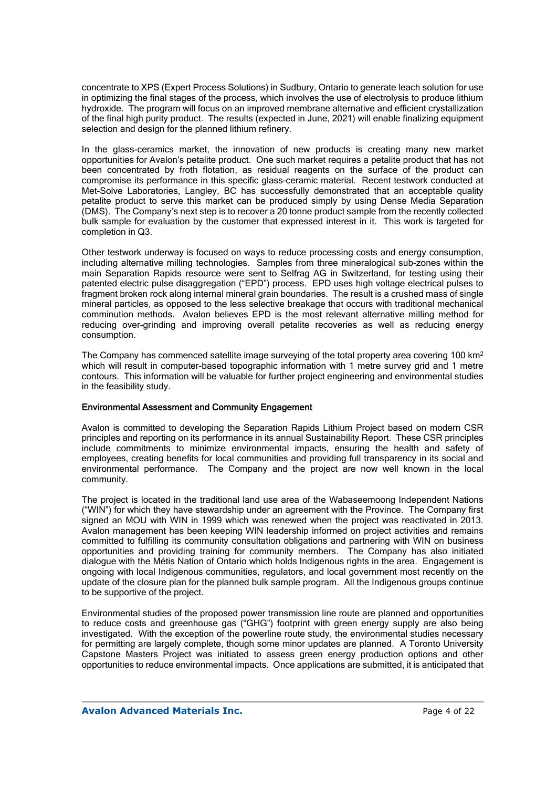concentrate to XPS (Expert Process Solutions) in Sudbury, Ontario to generate leach solution for use in optimizing the final stages of the process, which involves the use of electrolysis to produce lithium hydroxide. The program will focus on an improved membrane alternative and efficient crystallization of the final high purity product. The results (expected in June, 2021) will enable finalizing equipment selection and design for the planned lithium refinery.

In the glass-ceramics market, the innovation of new products is creating many new market opportunities for Avalon's petalite product. One such market requires a petalite product that has not been concentrated by froth flotation, as residual reagents on the surface of the product can compromise its performance in this specific glass-ceramic material. Recent testwork conducted at Met-Solve Laboratories, Langley, BC has successfully demonstrated that an acceptable quality petalite product to serve this market can be produced simply by using Dense Media Separation (DMS). The Company's next step is to recover a 20 tonne product sample from the recently collected bulk sample for evaluation by the customer that expressed interest in it. This work is targeted for completion in Q3.

Other testwork underway is focused on ways to reduce processing costs and energy consumption, including alternative milling technologies. Samples from three mineralogical sub-zones within the main Separation Rapids resource were sent to Selfrag AG in Switzerland, for testing using their patented electric pulse disaggregation ("EPD") process. EPD uses high voltage electrical pulses to fragment broken rock along internal mineral grain boundaries. The result is a crushed mass of single mineral particles, as opposed to the less selective breakage that occurs with traditional mechanical comminution methods. Avalon believes EPD is the most relevant alternative milling method for reducing over-grinding and improving overall petalite recoveries as well as reducing energy consumption.

The Company has commenced satellite image surveying of the total property area covering 100 km<sup>2</sup> which will result in computer-based topographic information with 1 metre survey grid and 1 metre contours. This information will be valuable for further project engineering and environmental studies in the feasibility study.

#### Environmental Assessment and Community Engagement

Avalon is committed to developing the Separation Rapids Lithium Project based on modern CSR principles and reporting on its performance in its annual Sustainability Report. These CSR principles include commitments to minimize environmental impacts, ensuring the health and safety of employees, creating benefits for local communities and providing full transparency in its social and environmental performance. The Company and the project are now well known in the local community.

The project is located in the traditional land use area of the Wabaseemoong Independent Nations ("WIN") for which they have stewardship under an agreement with the Province. The Company first signed an MOU with WIN in 1999 which was renewed when the project was reactivated in 2013. Avalon management has been keeping WIN leadership informed on project activities and remains committed to fulfilling its community consultation obligations and partnering with WIN on business opportunities and providing training for community members. The Company has also initiated dialogue with the Métis Nation of Ontario which holds Indigenous rights in the area. Engagement is ongoing with local Indigenous communities, regulators, and local government most recently on the update of the closure plan for the planned bulk sample program. All the Indigenous groups continue to be supportive of the project.

Environmental studies of the proposed power transmission line route are planned and opportunities to reduce costs and greenhouse gas ("GHG") footprint with green energy supply are also being investigated. With the exception of the powerline route study, the environmental studies necessary for permitting are largely complete, though some minor updates are planned. A Toronto University Capstone Masters Project was initiated to assess green energy production options and other opportunities to reduce environmental impacts. Once applications are submitted, it is anticipated that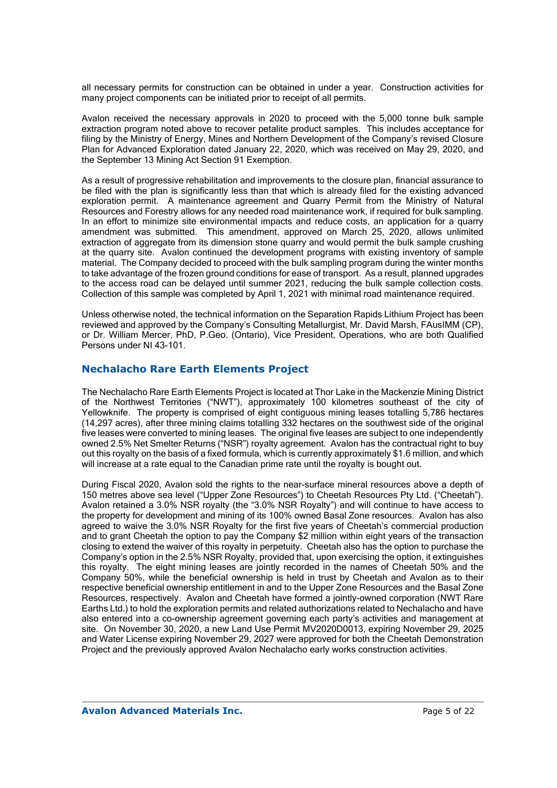all necessary permits for construction can be obtained in under a year. Construction activities for many project components can be initiated prior to receipt of all permits.

Avalon received the necessary approvals in 2020 to proceed with the 5,000 tonne bulk sample extraction program noted above to recover petalite product samples. This includes acceptance for filing by the Ministry of Energy, Mines and Northern Development of the Company's revised Closure Plan for Advanced Exploration dated January 22, 2020, which was received on May 29, 2020, and the September 13 Mining Act Section 91 Exemption.

As a result of progressive rehabilitation and improvements to the closure plan, financial assurance to be filed with the plan is significantly less than that which is already filed for the existing advanced exploration permit. A maintenance agreement and Quarry Permit from the Ministry of Natural Resources and Forestry allows for any needed road maintenance work, if required for bulk sampling. In an effort to minimize site environmental impacts and reduce costs, an application for a quarry amendment was submitted. This amendment, approved on March 25, 2020, allows unlimited extraction of aggregate from its dimension stone quarry and would permit the bulk sample crushing at the quarry site. Avalon continued the development programs with existing inventory of sample material. The Company decided to proceed with the bulk sampling program during the winter months to take advantage of the frozen ground conditions for ease of transport. As a result, planned upgrades to the access road can be delayed until summer 2021, reducing the bulk sample collection costs. Collection of this sample was completed by April 1, 2021 with minimal road maintenance required.

Unless otherwise noted, the technical information on the Separation Rapids Lithium Project has been reviewed and approved by the Company's Consulting Metallurgist, Mr. David Marsh, FAusIMM (CP), or Dr. William Mercer, PhD, P.Geo. (Ontario), Vice President, Operations, who are both Qualified Persons under NI 43-101.

### **Nechalacho Rare Earth Elements Project**

The Nechalacho Rare Earth Elements Project is located at Thor Lake in the Mackenzie Mining District of the Northwest Territories ("NWT"), approximately 100 kilometres southeast of the city of Yellowknife. The property is comprised of eight contiguous mining leases totalling 5,786 hectares (14,297 acres), after three mining claims totalling 332 hectares on the southwest side of the original five leases were converted to mining leases. The original five leases are subject to one independently owned 2.5% Net Smelter Returns ("NSR") royalty agreement. Avalon has the contractual right to buy out this royalty on the basis of a fixed formula, which is currently approximately \$1.6 million, and which will increase at a rate equal to the Canadian prime rate until the royalty is bought out.

During Fiscal 2020, Avalon sold the rights to the near-surface mineral resources above a depth of 150 metres above sea level ("Upper Zone Resources") to Cheetah Resources Pty Ltd. ("Cheetah"). Avalon retained a 3.0% NSR royalty (the "3.0% NSR Royalty") and will continue to have access to the property for development and mining of its 100% owned Basal Zone resources. Avalon has also agreed to waive the 3.0% NSR Royalty for the first five years of Cheetah's commercial production and to grant Cheetah the option to pay the Company \$2 million within eight years of the transaction closing to extend the waiver of this royalty in perpetuity. Cheetah also has the option to purchase the Company's option in the 2.5% NSR Royalty, provided that, upon exercising the option, it extinguishes this royalty. The eight mining leases are jointly recorded in the names of Cheetah 50% and the Company 50%, while the beneficial ownership is held in trust by Cheetah and Avalon as to their respective beneficial ownership entitlement in and to the Upper Zone Resources and the Basal Zone Resources, respectively. Avalon and Cheetah have formed a jointly-owned corporation (NWT Rare Earths Ltd.) to hold the exploration permits and related authorizations related to Nechalacho and have also entered into a co-ownership agreement governing each party's activities and management at site. On November 30, 2020, a new Land Use Permit MV2020D0013, expiring November 29, 2025 and Water License expiring November 29, 2027 were approved for both the Cheetah Demonstration Project and the previously approved Avalon Nechalacho early works construction activities.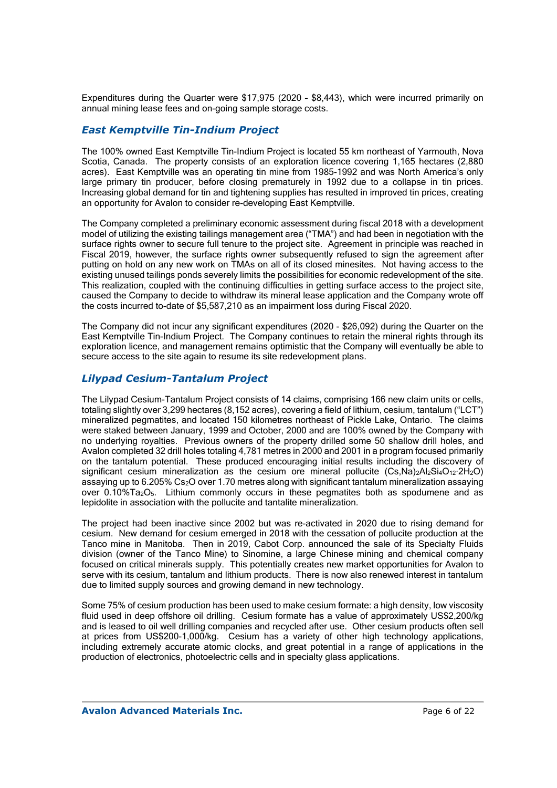Expenditures during the Quarter were \$17,975 (2020 – \$8,443), which were incurred primarily on annual mining lease fees and on-going sample storage costs.

## *East Kemptville Tin-Indium Project*

The 100% owned East Kemptville Tin-Indium Project is located 55 km northeast of Yarmouth, Nova Scotia, Canada. The property consists of an exploration licence covering 1,165 hectares (2,880 acres). East Kemptville was an operating tin mine from 1985-1992 and was North America's only large primary tin producer, before closing prematurely in 1992 due to a collapse in tin prices. Increasing global demand for tin and tightening supplies has resulted in improved tin prices, creating an opportunity for Avalon to consider re-developing East Kemptville.

The Company completed a preliminary economic assessment during fiscal 2018 with a development model of utilizing the existing tailings management area ("TMA") and had been in negotiation with the surface rights owner to secure full tenure to the project site. Agreement in principle was reached in Fiscal 2019, however, the surface rights owner subsequently refused to sign the agreement after putting on hold on any new work on TMAs on all of its closed minesites. Not having access to the existing unused tailings ponds severely limits the possibilities for economic redevelopment of the site. This realization, coupled with the continuing difficulties in getting surface access to the project site, caused the Company to decide to withdraw its mineral lease application and the Company wrote off the costs incurred to-date of \$5,587,210 as an impairment loss during Fiscal 2020.

The Company did not incur any significant expenditures (2020 - \$26,092) during the Quarter on the East Kemptville Tin-Indium Project. The Company continues to retain the mineral rights through its exploration licence, and management remains optimistic that the Company will eventually be able to secure access to the site again to resume its site redevelopment plans.

## *Lilypad Cesium-Tantalum Project*

The Lilypad Cesium-Tantalum Project consists of 14 claims, comprising 166 new claim units or cells, totaling slightly over 3,299 hectares (8,152 acres), covering a field of lithium, cesium, tantalum ("LCT") mineralized pegmatites, and located 150 kilometres northeast of Pickle Lake, Ontario. The claims were staked between January, 1999 and October, 2000 and are 100% owned by the Company with no underlying royalties. Previous owners of the property drilled some 50 shallow drill holes, and Avalon completed 32 drill holes totaling 4,781 metres in 2000 and 2001 in a program focused primarily on the tantalum potential. These produced encouraging initial results including the discovery of significant cesium mineralization as the cesium ore mineral pollucite  $(Cs,Na)_{2}Al_{2}Si_{4}O_{12}\cdot 2H_{2}O$ assaying up to 6.205% Cs2O over 1.70 metres along with significant tantalum mineralization assaying over 0.10%Ta2O5. Lithium commonly occurs in these pegmatites both as spodumene and as lepidolite in association with the pollucite and tantalite mineralization.

The project had been inactive since 2002 but was re-activated in 2020 due to rising demand for cesium. New demand for cesium emerged in 2018 with the cessation of pollucite production at the Tanco mine in Manitoba. Then in 2019, Cabot Corp. announced the sale of its Specialty Fluids division (owner of the Tanco Mine) to Sinomine, a large Chinese mining and chemical company focused on critical minerals supply. This potentially creates new market opportunities for Avalon to serve with its cesium, tantalum and lithium products. There is now also renewed interest in tantalum due to limited supply sources and growing demand in new technology.

Some 75% of cesium production has been used to make cesium formate: a high density, low viscosity fluid used in deep offshore oil drilling. Cesium formate has a value of approximately US\$2,200/kg and is leased to oil well drilling companies and recycled after use. Other cesium products often sell at prices from US\$200-1,000/kg. Cesium has a variety of other high technology applications, including extremely accurate atomic clocks, and great potential in a range of applications in the production of electronics, photoelectric cells and in specialty glass applications.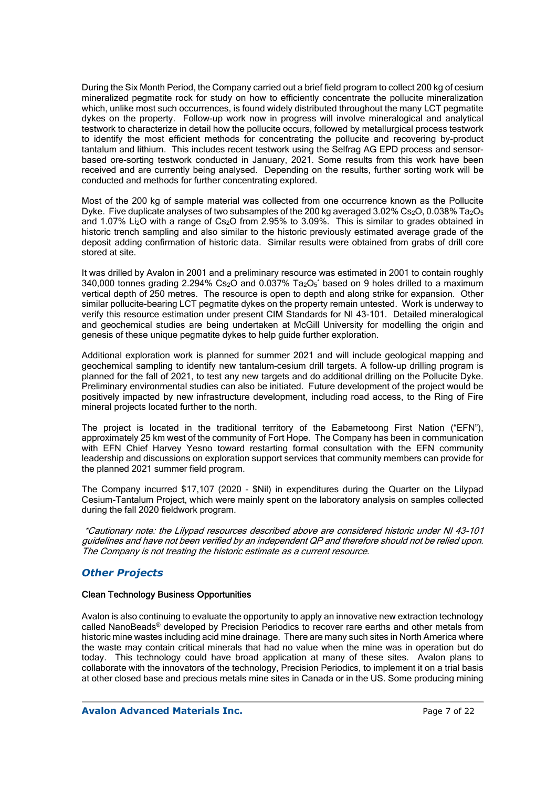During the Six Month Period, the Company carried out a brief field program to collect 200 kg of cesium mineralized pegmatite rock for study on how to efficiently concentrate the pollucite mineralization which, unlike most such occurrences, is found widely distributed throughout the many LCT pegmatite dykes on the property. Follow-up work now in progress will involve mineralogical and analytical testwork to characterize in detail how the pollucite occurs, followed by metallurgical process testwork to identify the most efficient methods for concentrating the pollucite and recovering by-product tantalum and lithium. This includes recent testwork using the Selfrag AG EPD process and sensorbased ore-sorting testwork conducted in January, 2021. Some results from this work have been received and are currently being analysed. Depending on the results, further sorting work will be conducted and methods for further concentrating explored.

Most of the 200 kg of sample material was collected from one occurrence known as the Pollucite Dyke. Five duplicate analyses of two subsamples of the 200 kg averaged 3.02% Cs<sub>2</sub>O, 0.038% Ta<sub>2</sub>O<sub>5</sub> and 1.07% Li<sub>2</sub>O with a range of Cs<sub>2</sub>O from 2.95% to 3.09%. This is similar to grades obtained in historic trench sampling and also similar to the historic previously estimated average grade of the deposit adding confirmation of historic data. Similar results were obtained from grabs of drill core stored at site.

It was drilled by Avalon in 2001 and a preliminary resource was estimated in 2001 to contain roughly 340,000 tonnes grading 2.294%  $Cs<sub>2</sub>O$  and 0.037% Ta<sub>2</sub>O<sub>5</sub>\* based on 9 holes drilled to a maximum vertical depth of 250 metres. The resource is open to depth and along strike for expansion. Other similar pollucite-bearing LCT pegmatite dykes on the property remain untested. Work is underway to verify this resource estimation under present CIM Standards for NI 43-101. Detailed mineralogical and geochemical studies are being undertaken at McGill University for modelling the origin and genesis of these unique pegmatite dykes to help guide further exploration.

Additional exploration work is planned for summer 2021 and will include geological mapping and geochemical sampling to identify new tantalum-cesium drill targets. A follow-up drilling program is planned for the fall of 2021, to test any new targets and do additional drilling on the Pollucite Dyke. Preliminary environmental studies can also be initiated. Future development of the project would be positively impacted by new infrastructure development, including road access, to the Ring of Fire mineral projects located further to the north.

The project is located in the traditional territory of the Eabametoong First Nation ("EFN"), approximately 25 km west of the community of Fort Hope. The Company has been in communication with EFN Chief Harvey Yesno toward restarting formal consultation with the EFN community leadership and discussions on exploration support services that community members can provide for the planned 2021 summer field program.

The Company incurred \$17,107 (2020 - \$Nil) in expenditures during the Quarter on the Lilypad Cesium-Tantalum Project, which were mainly spent on the laboratory analysis on samples collected during the fall 2020 fieldwork program.

 \*Cautionary note: the Lilypad resources described above are considered historic under NI 43-101 guidelines and have not been verified by an independent QP and therefore should not be relied upon. The Company is not treating the historic estimate as a current resource.

## *Other Projects*

### Clean Technology Business Opportunities

Avalon is also continuing to evaluate the opportunity to apply an innovative new extraction technology called NanoBeads® developed by Precision Periodics to recover rare earths and other metals from historic mine wastes including acid mine drainage. There are many such sites in North America where the waste may contain critical minerals that had no value when the mine was in operation but do today. This technology could have broad application at many of these sites. Avalon plans to collaborate with the innovators of the technology, Precision Periodics, to implement it on a trial basis at other closed base and precious metals mine sites in Canada or in the US. Some producing mining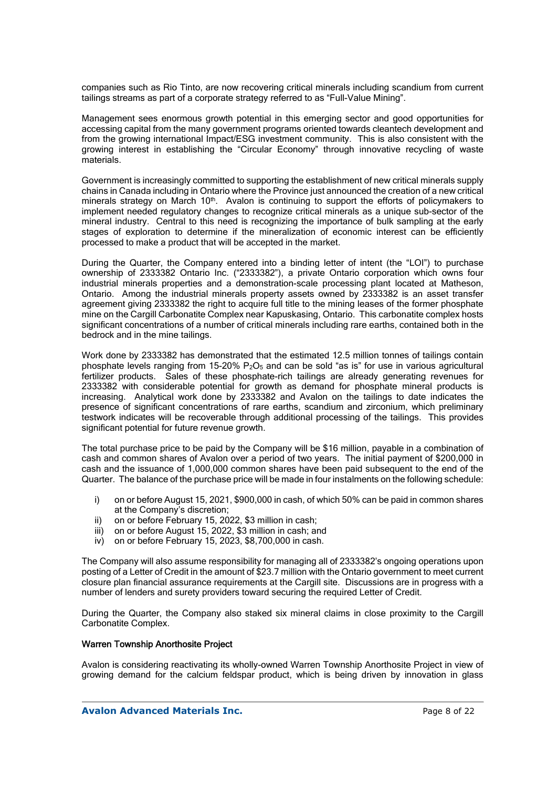companies such as Rio Tinto, are now recovering critical minerals including scandium from current tailings streams as part of a corporate strategy referred to as "Full-Value Mining".

Management sees enormous growth potential in this emerging sector and good opportunities for accessing capital from the many government programs oriented towards cleantech development and from the growing international Impact/ESG investment community. This is also consistent with the growing interest in establishing the "Circular Economy" through innovative recycling of waste materials.

Government is increasingly committed to supporting the establishment of new critical minerals supply chains in Canada including in Ontario where the Province just announced the creation of a new critical minerals strategy on March 10<sup>th</sup>. Avalon is continuing to support the efforts of policymakers to implement needed regulatory changes to recognize critical minerals as a unique sub-sector of the mineral industry. Central to this need is recognizing the importance of bulk sampling at the early stages of exploration to determine if the mineralization of economic interest can be efficiently processed to make a product that will be accepted in the market.

During the Quarter, the Company entered into a binding letter of intent (the "LOI") to purchase ownership of 2333382 Ontario Inc. ("2333382"), a private Ontario corporation which owns four industrial minerals properties and a demonstration-scale processing plant located at Matheson, Ontario. Among the industrial minerals property assets owned by 2333382 is an asset transfer agreement giving 2333382 the right to acquire full title to the mining leases of the former phosphate mine on the Cargill Carbonatite Complex near Kapuskasing, Ontario. This carbonatite complex hosts significant concentrations of a number of critical minerals including rare earths, contained both in the bedrock and in the mine tailings.

Work done by 2333382 has demonstrated that the estimated 12.5 million tonnes of tailings contain phosphate levels ranging from 15-20%  $P_2O_5$  and can be sold "as is" for use in various agricultural fertilizer products. Sales of these phosphate-rich tailings are already generating revenues for 2333382 with considerable potential for growth as demand for phosphate mineral products is increasing. Analytical work done by 2333382 and Avalon on the tailings to date indicates the presence of significant concentrations of rare earths, scandium and zirconium, which preliminary testwork indicates will be recoverable through additional processing of the tailings. This provides significant potential for future revenue growth.

The total purchase price to be paid by the Company will be \$16 million, payable in a combination of cash and common shares of Avalon over a period of two years. The initial payment of \$200,000 in cash and the issuance of 1,000,000 common shares have been paid subsequent to the end of the Quarter. The balance of the purchase price will be made in four instalments on the following schedule:

- i) on or before August 15, 2021, \$900,000 in cash, of which 50% can be paid in common shares at the Company's discretion;
- ii) on or before February 15, 2022, \$3 million in cash;
- iii) on or before August 15, 2022, \$3 million in cash; and
- iv) on or before February 15, 2023, \$8,700,000 in cash.

The Company will also assume responsibility for managing all of 2333382's ongoing operations upon posting of a Letter of Credit in the amount of \$23.7 million with the Ontario government to meet current closure plan financial assurance requirements at the Cargill site. Discussions are in progress with a number of lenders and surety providers toward securing the required Letter of Credit.

During the Quarter, the Company also staked six mineral claims in close proximity to the Cargill Carbonatite Complex.

#### Warren Township Anorthosite Project

Avalon is considering reactivating its wholly-owned Warren Township Anorthosite Project in view of growing demand for the calcium feldspar product, which is being driven by innovation in glass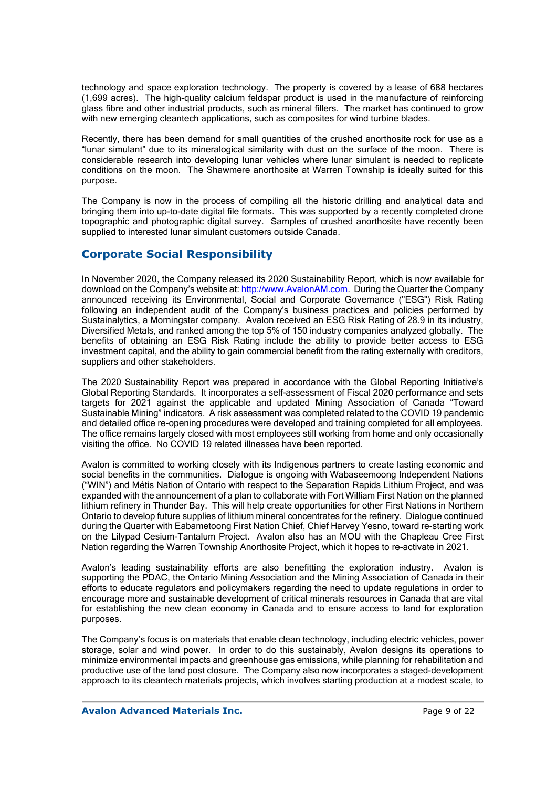technology and space exploration technology. The property is covered by a lease of 688 hectares (1,699 acres). The high-quality calcium feldspar product is used in the manufacture of reinforcing glass fibre and other industrial products, such as mineral fillers. The market has continued to grow with new emerging cleantech applications, such as composites for wind turbine blades.

Recently, there has been demand for small quantities of the crushed anorthosite rock for use as a "lunar simulant" due to its mineralogical similarity with dust on the surface of the moon. There is considerable research into developing lunar vehicles where lunar simulant is needed to replicate conditions on the moon. The Shawmere anorthosite at Warren Township is ideally suited for this purpose.

The Company is now in the process of compiling all the historic drilling and analytical data and bringing them into up-to-date digital file formats. This was supported by a recently completed drone topographic and photographic digital survey. Samples of crushed anorthosite have recently been supplied to interested lunar simulant customers outside Canada.

# **Corporate Social Responsibility**

In November 2020, the Company released its 2020 Sustainability Report, which is now available for download on the Company's website at: http://www.AvalonAM.com. During the Quarter the Company announced receiving its Environmental, Social and Corporate Governance ("ESG") Risk Rating following an independent audit of the Company's business practices and policies performed by Sustainalytics, a Morningstar company. Avalon received an ESG Risk Rating of 28.9 in its industry, Diversified Metals, and ranked among the top 5% of 150 industry companies analyzed globally. The benefits of obtaining an ESG Risk Rating include the ability to provide better access to ESG investment capital, and the ability to gain commercial benefit from the rating externally with creditors, suppliers and other stakeholders.

The 2020 Sustainability Report was prepared in accordance with the Global Reporting Initiative's Global Reporting Standards. It incorporates a self-assessment of Fiscal 2020 performance and sets targets for 2021 against the applicable and updated Mining Association of Canada "Toward Sustainable Mining" indicators. A risk assessment was completed related to the COVID 19 pandemic and detailed office re-opening procedures were developed and training completed for all employees. The office remains largely closed with most employees still working from home and only occasionally visiting the office. No COVID 19 related illnesses have been reported.

Avalon is committed to working closely with its Indigenous partners to create lasting economic and social benefits in the communities. Dialogue is ongoing with Wabaseemoong Independent Nations ("WIN") and Métis Nation of Ontario with respect to the Separation Rapids Lithium Project, and was expanded with the announcement of a plan to collaborate with Fort William First Nation on the planned lithium refinery in Thunder Bay. This will help create opportunities for other First Nations in Northern Ontario to develop future supplies of lithium mineral concentrates for the refinery. Dialogue continued during the Quarter with Eabametoong First Nation Chief, Chief Harvey Yesno, toward re-starting work on the Lilypad Cesium-Tantalum Project. Avalon also has an MOU with the Chapleau Cree First Nation regarding the Warren Township Anorthosite Project, which it hopes to re-activate in 2021.

Avalon's leading sustainability efforts are also benefitting the exploration industry. Avalon is supporting the PDAC, the Ontario Mining Association and the Mining Association of Canada in their efforts to educate regulators and policymakers regarding the need to update regulations in order to encourage more and sustainable development of critical minerals resources in Canada that are vital for establishing the new clean economy in Canada and to ensure access to land for exploration purposes.

The Company's focus is on materials that enable clean technology, including electric vehicles, power storage, solar and wind power. In order to do this sustainably, Avalon designs its operations to minimize environmental impacts and greenhouse gas emissions, while planning for rehabilitation and productive use of the land post closure. The Company also now incorporates a staged-development approach to its cleantech materials projects, which involves starting production at a modest scale, to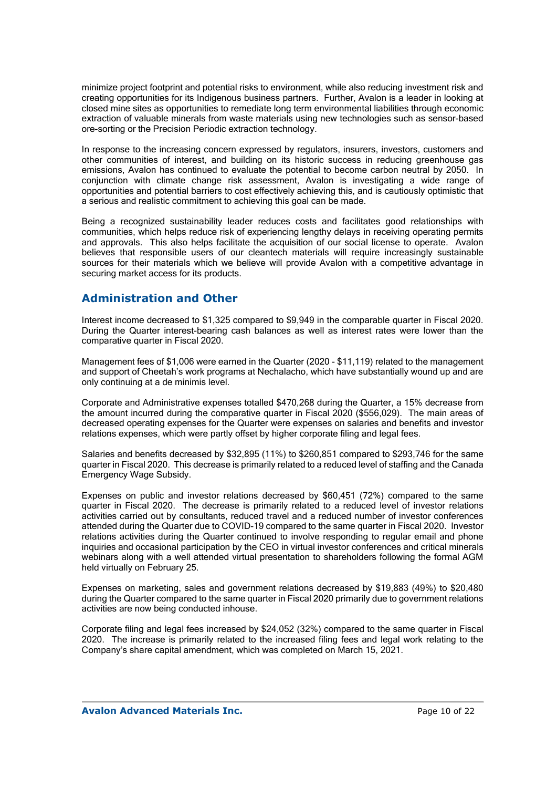minimize project footprint and potential risks to environment, while also reducing investment risk and creating opportunities for its Indigenous business partners. Further, Avalon is a leader in looking at closed mine sites as opportunities to remediate long term environmental liabilities through economic extraction of valuable minerals from waste materials using new technologies such as sensor-based ore-sorting or the Precision Periodic extraction technology.

In response to the increasing concern expressed by regulators, insurers, investors, customers and other communities of interest, and building on its historic success in reducing greenhouse gas emissions, Avalon has continued to evaluate the potential to become carbon neutral by 2050. In conjunction with climate change risk assessment, Avalon is investigating a wide range of opportunities and potential barriers to cost effectively achieving this, and is cautiously optimistic that a serious and realistic commitment to achieving this goal can be made.

Being a recognized sustainability leader reduces costs and facilitates good relationships with communities, which helps reduce risk of experiencing lengthy delays in receiving operating permits and approvals. This also helps facilitate the acquisition of our social license to operate. Avalon believes that responsible users of our cleantech materials will require increasingly sustainable sources for their materials which we believe will provide Avalon with a competitive advantage in securing market access for its products.

## **Administration and Other**

Interest income decreased to \$1,325 compared to \$9,949 in the comparable quarter in Fiscal 2020. During the Quarter interest-bearing cash balances as well as interest rates were lower than the comparative quarter in Fiscal 2020.

Management fees of \$1,006 were earned in the Quarter (2020 - \$11,119) related to the management and support of Cheetah's work programs at Nechalacho, which have substantially wound up and are only continuing at a de minimis level.

Corporate and Administrative expenses totalled \$470,268 during the Quarter, a 15% decrease from the amount incurred during the comparative quarter in Fiscal 2020 (\$556,029). The main areas of decreased operating expenses for the Quarter were expenses on salaries and benefits and investor relations expenses, which were partly offset by higher corporate filing and legal fees.

Salaries and benefits decreased by \$32,895 (11%) to \$260,851 compared to \$293,746 for the same quarter in Fiscal 2020. This decrease is primarily related to a reduced level of staffing and the Canada Emergency Wage Subsidy.

Expenses on public and investor relations decreased by \$60,451 (72%) compared to the same quarter in Fiscal 2020. The decrease is primarily related to a reduced level of investor relations activities carried out by consultants, reduced travel and a reduced number of investor conferences attended during the Quarter due to COVID-19 compared to the same quarter in Fiscal 2020. Investor relations activities during the Quarter continued to involve responding to regular email and phone inquiries and occasional participation by the CEO in virtual investor conferences and critical minerals webinars along with a well attended virtual presentation to shareholders following the formal AGM held virtually on February 25.

Expenses on marketing, sales and government relations decreased by \$19,883 (49%) to \$20,480 during the Quarter compared to the same quarter in Fiscal 2020 primarily due to government relations activities are now being conducted inhouse.

Corporate filing and legal fees increased by \$24,052 (32%) compared to the same quarter in Fiscal 2020. The increase is primarily related to the increased filing fees and legal work relating to the Company's share capital amendment, which was completed on March 15, 2021.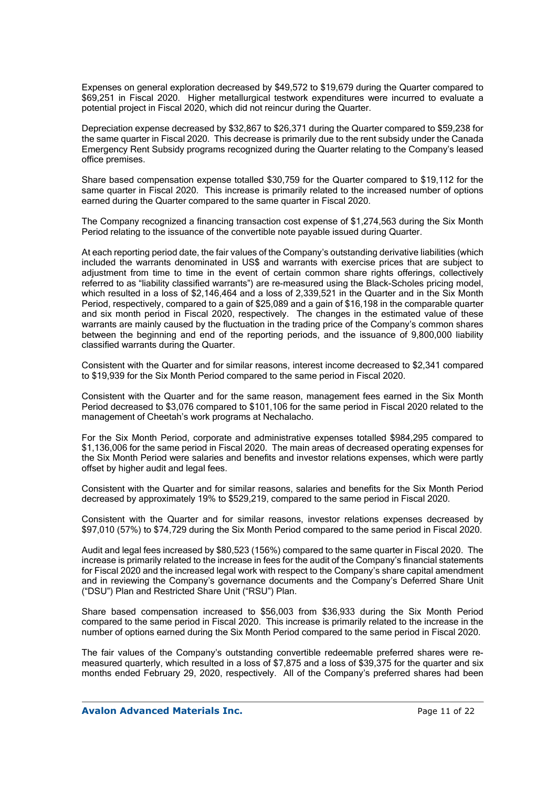Expenses on general exploration decreased by \$49,572 to \$19,679 during the Quarter compared to \$69,251 in Fiscal 2020. Higher metallurgical testwork expenditures were incurred to evaluate a potential project in Fiscal 2020, which did not reincur during the Quarter.

Depreciation expense decreased by \$32,867 to \$26,371 during the Quarter compared to \$59,238 for the same quarter in Fiscal 2020. This decrease is primarily due to the rent subsidy under the Canada Emergency Rent Subsidy programs recognized during the Quarter relating to the Company's leased office premises.

Share based compensation expense totalled \$30,759 for the Quarter compared to \$19,112 for the same quarter in Fiscal 2020. This increase is primarily related to the increased number of options earned during the Quarter compared to the same quarter in Fiscal 2020.

The Company recognized a financing transaction cost expense of \$1,274,563 during the Six Month Period relating to the issuance of the convertible note payable issued during Quarter.

At each reporting period date, the fair values of the Company's outstanding derivative liabilities (which included the warrants denominated in US\$ and warrants with exercise prices that are subject to adjustment from time to time in the event of certain common share rights offerings, collectively referred to as "liability classified warrants") are re-measured using the Black-Scholes pricing model, which resulted in a loss of \$2,146,464 and a loss of 2,339,521 in the Quarter and in the Six Month Period, respectively, compared to a gain of \$25,089 and a gain of \$16,198 in the comparable quarter and six month period in Fiscal 2020, respectively. The changes in the estimated value of these warrants are mainly caused by the fluctuation in the trading price of the Company's common shares between the beginning and end of the reporting periods, and the issuance of 9,800,000 liability classified warrants during the Quarter.

Consistent with the Quarter and for similar reasons, interest income decreased to \$2,341 compared to \$19,939 for the Six Month Period compared to the same period in Fiscal 2020.

Consistent with the Quarter and for the same reason, management fees earned in the Six Month Period decreased to \$3,076 compared to \$101,106 for the same period in Fiscal 2020 related to the management of Cheetah's work programs at Nechalacho.

For the Six Month Period, corporate and administrative expenses totalled \$984,295 compared to \$1,136,006 for the same period in Fiscal 2020. The main areas of decreased operating expenses for the Six Month Period were salaries and benefits and investor relations expenses, which were partly offset by higher audit and legal fees.

Consistent with the Quarter and for similar reasons, salaries and benefits for the Six Month Period decreased by approximately 19% to \$529,219, compared to the same period in Fiscal 2020.

Consistent with the Quarter and for similar reasons, investor relations expenses decreased by \$97,010 (57%) to \$74,729 during the Six Month Period compared to the same period in Fiscal 2020.

Audit and legal fees increased by \$80,523 (156%) compared to the same quarter in Fiscal 2020. The increase is primarily related to the increase in fees for the audit of the Company's financial statements for Fiscal 2020 and the increased legal work with respect to the Company's share capital amendment and in reviewing the Company's governance documents and the Company's Deferred Share Unit ("DSU") Plan and Restricted Share Unit ("RSU") Plan.

Share based compensation increased to \$56,003 from \$36,933 during the Six Month Period compared to the same period in Fiscal 2020. This increase is primarily related to the increase in the number of options earned during the Six Month Period compared to the same period in Fiscal 2020.

The fair values of the Company's outstanding convertible redeemable preferred shares were remeasured quarterly, which resulted in a loss of \$7,875 and a loss of \$39,375 for the quarter and six months ended February 29, 2020, respectively. All of the Company's preferred shares had been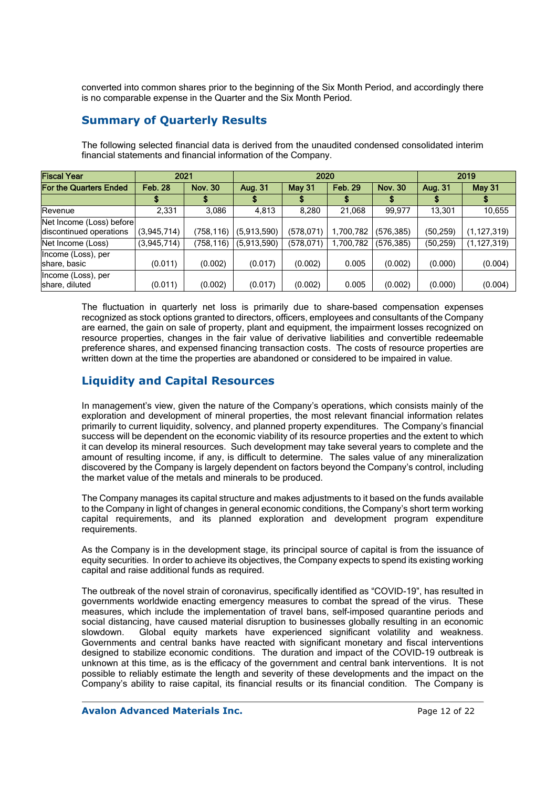converted into common shares prior to the beginning of the Six Month Period, and accordingly there is no comparable expense in the Quarter and the Six Month Period.

## **Summary of Quarterly Results**

| <b>Fiscal Year</b>                                  | 2021           |                |             | 2020          | 2019           |                |           |               |  |
|-----------------------------------------------------|----------------|----------------|-------------|---------------|----------------|----------------|-----------|---------------|--|
| <b>For the Quarters Ended</b>                       | <b>Feb. 28</b> | <b>Nov. 30</b> | Aug. 31     | <b>May 31</b> | <b>Feb. 29</b> | <b>Nov. 30</b> | Aug. 31   | May 31        |  |
|                                                     |                |                |             |               |                |                |           |               |  |
| Revenue                                             | 2,331          | 3,086          | 4,813       | 8,280         | 21.068         | 99,977         | 13,301    | 10,655        |  |
| Net Income (Loss) before<br>discontinued operations | (3,945,714)    | (758,116)      | (5,913,590) | (578, 071)    | 1,700,782      | (576, 385)     | (50, 259) | (1, 127, 319) |  |
| Net Income (Loss)<br>Income (Loss), per             | (3,945,714)    | (758,116)      | (5,913,590) | (578, 071)    | ,700,782       | (576, 385)     | (50, 259) | (1, 127, 319) |  |
| share, basic                                        | (0.011)        | (0.002)        | (0.017)     | (0.002)       | 0.005          | (0.002)        | (0.000)   | (0.004)       |  |
| Income (Loss), per<br>share, diluted                | (0.011)        | (0.002)        | (0.017)     | (0.002)       | 0.005          | (0.002)        | (0.000)   | (0.004)       |  |

The following selected financial data is derived from the unaudited condensed consolidated interim financial statements and financial information of the Company.

The fluctuation in quarterly net loss is primarily due to share-based compensation expenses recognized as stock options granted to directors, officers, employees and consultants of the Company are earned, the gain on sale of property, plant and equipment, the impairment losses recognized on resource properties, changes in the fair value of derivative liabilities and convertible redeemable preference shares, and expensed financing transaction costs. The costs of resource properties are written down at the time the properties are abandoned or considered to be impaired in value.

# **Liquidity and Capital Resources**

In management's view, given the nature of the Company's operations, which consists mainly of the exploration and development of mineral properties, the most relevant financial information relates primarily to current liquidity, solvency, and planned property expenditures. The Company's financial success will be dependent on the economic viability of its resource properties and the extent to which it can develop its mineral resources. Such development may take several years to complete and the amount of resulting income, if any, is difficult to determine. The sales value of any mineralization discovered by the Company is largely dependent on factors beyond the Company's control, including the market value of the metals and minerals to be produced.

The Company manages its capital structure and makes adjustments to it based on the funds available to the Company in light of changes in general economic conditions, the Company's short term working capital requirements, and its planned exploration and development program expenditure requirements.

As the Company is in the development stage, its principal source of capital is from the issuance of equity securities. In order to achieve its objectives, the Company expects to spend its existing working capital and raise additional funds as required.

The outbreak of the novel strain of coronavirus, specifically identified as "COVID-19", has resulted in governments worldwide enacting emergency measures to combat the spread of the virus. These measures, which include the implementation of travel bans, self-imposed quarantine periods and social distancing, have caused material disruption to businesses globally resulting in an economic slowdown. Global equity markets have experienced significant volatility and weakness. Governments and central banks have reacted with significant monetary and fiscal interventions designed to stabilize economic conditions. The duration and impact of the COVID-19 outbreak is unknown at this time, as is the efficacy of the government and central bank interventions. It is not possible to reliably estimate the length and severity of these developments and the impact on the Company's ability to raise capital, its financial results or its financial condition. The Company is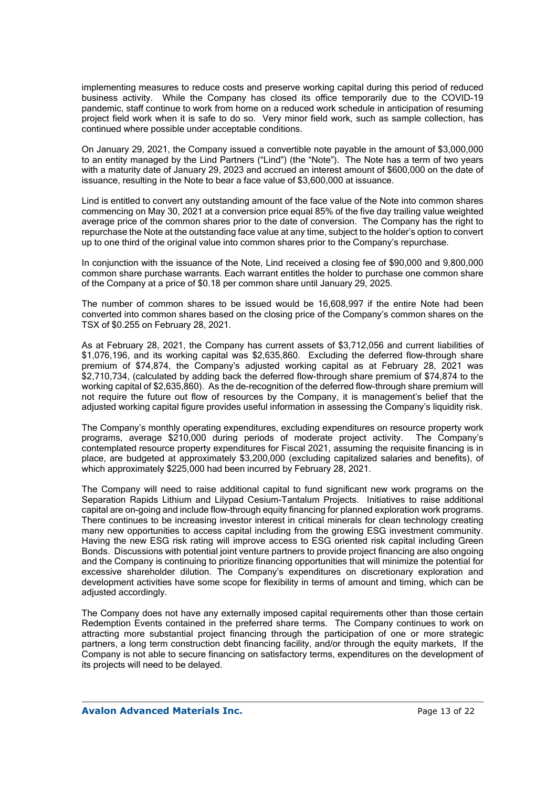implementing measures to reduce costs and preserve working capital during this period of reduced business activity. While the Company has closed its office temporarily due to the COVID-19 pandemic, staff continue to work from home on a reduced work schedule in anticipation of resuming project field work when it is safe to do so. Very minor field work, such as sample collection, has continued where possible under acceptable conditions.

On January 29, 2021, the Company issued a convertible note payable in the amount of \$3,000,000 to an entity managed by the Lind Partners ("Lind") (the "Note"). The Note has a term of two years with a maturity date of January 29, 2023 and accrued an interest amount of \$600,000 on the date of issuance, resulting in the Note to bear a face value of \$3,600,000 at issuance.

Lind is entitled to convert any outstanding amount of the face value of the Note into common shares commencing on May 30, 2021 at a conversion price equal 85% of the five day trailing value weighted average price of the common shares prior to the date of conversion. The Company has the right to repurchase the Note at the outstanding face value at any time, subject to the holder's option to convert up to one third of the original value into common shares prior to the Company's repurchase.

In conjunction with the issuance of the Note, Lind received a closing fee of \$90,000 and 9,800,000 common share purchase warrants. Each warrant entitles the holder to purchase one common share of the Company at a price of \$0.18 per common share until January 29, 2025.

The number of common shares to be issued would be 16,608,997 if the entire Note had been converted into common shares based on the closing price of the Company's common shares on the TSX of \$0.255 on February 28, 2021.

As at February 28, 2021, the Company has current assets of \$3,712,056 and current liabilities of \$1,076,196, and its working capital was \$2,635,860. Excluding the deferred flow-through share premium of \$74,874, the Company's adjusted working capital as at February 28, 2021 was \$2,710,734, (calculated by adding back the deferred flow-through share premium of \$74,874 to the working capital of \$2,635,860). As the de-recognition of the deferred flow-through share premium will not require the future out flow of resources by the Company, it is management's belief that the adjusted working capital figure provides useful information in assessing the Company's liquidity risk.

The Company's monthly operating expenditures, excluding expenditures on resource property work programs, average \$210,000 during periods of moderate project activity. The Company's contemplated resource property expenditures for Fiscal 2021, assuming the requisite financing is in place, are budgeted at approximately \$3,200,000 (excluding capitalized salaries and benefits), of which approximately \$225,000 had been incurred by February 28, 2021.

The Company will need to raise additional capital to fund significant new work programs on the Separation Rapids Lithium and Lilypad Cesium-Tantalum Projects. Initiatives to raise additional capital are on-going and include flow-through equity financing for planned exploration work programs. There continues to be increasing investor interest in critical minerals for clean technology creating many new opportunities to access capital including from the growing ESG investment community. Having the new ESG risk rating will improve access to ESG oriented risk capital including Green Bonds. Discussions with potential joint venture partners to provide project financing are also ongoing and the Company is continuing to prioritize financing opportunities that will minimize the potential for excessive shareholder dilution. The Company's expenditures on discretionary exploration and development activities have some scope for flexibility in terms of amount and timing, which can be adjusted accordingly.

The Company does not have any externally imposed capital requirements other than those certain Redemption Events contained in the preferred share terms. The Company continues to work on attracting more substantial project financing through the participation of one or more strategic partners, a long term construction debt financing facility, and/or through the equity markets. If the Company is not able to secure financing on satisfactory terms, expenditures on the development of its projects will need to be delayed.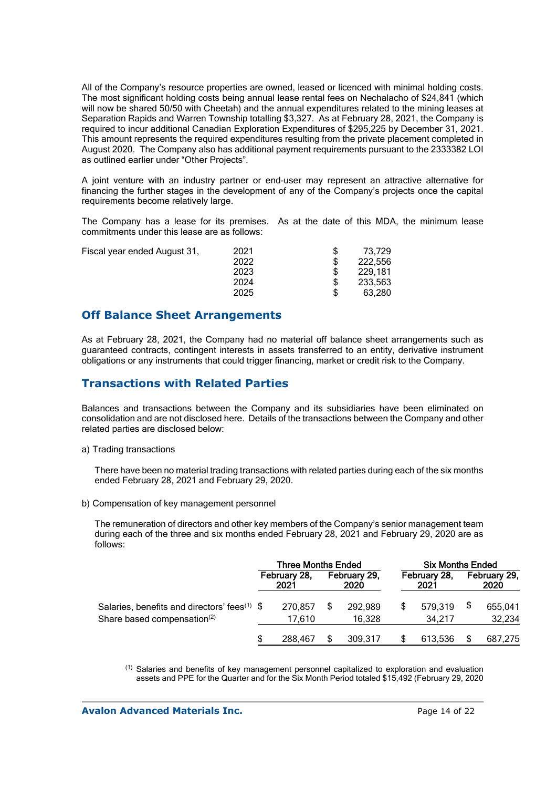All of the Company's resource properties are owned, leased or licenced with minimal holding costs. The most significant holding costs being annual lease rental fees on Nechalacho of \$24,841 (which will now be shared 50/50 with Cheetah) and the annual expenditures related to the mining leases at Separation Rapids and Warren Township totalling \$3,327. As at February 28, 2021, the Company is required to incur additional Canadian Exploration Expenditures of \$295,225 by December 31, 2021. This amount represents the required expenditures resulting from the private placement completed in August 2020. The Company also has additional payment requirements pursuant to the 2333382 LOI as outlined earlier under "Other Projects".

A joint venture with an industry partner or end-user may represent an attractive alternative for financing the further stages in the development of any of the Company's projects once the capital requirements become relatively large.

The Company has a lease for its premises. As at the date of this MDA, the minimum lease commitments under this lease are as follows:

| Fiscal year ended August 31, | 2021 | 73.729  |
|------------------------------|------|---------|
|                              | 2022 | 222.556 |
|                              | 2023 | 229.181 |
|                              | 2024 | 233,563 |
|                              | 2025 | 63.280  |
|                              |      |         |

### **Off Balance Sheet Arrangements**

As at February 28, 2021, the Company had no material off balance sheet arrangements such as guaranteed contracts, contingent interests in assets transferred to an entity, derivative instrument obligations or any instruments that could trigger financing, market or credit risk to the Company.

## **Transactions with Related Parties**

Balances and transactions between the Company and its subsidiaries have been eliminated on consolidation and are not disclosed here. Details of the transactions between the Company and other related parties are disclosed below:

a) Trading transactions

There have been no material trading transactions with related parties during each of the six months ended February 28, 2021 and February 29, 2020.

b) Compensation of key management personnel

The remuneration of directors and other key members of the Company's senior management team during each of the three and six months ended February 28, 2021 and February 29, 2020 are as follows:

|                                                                                                     | <b>Three Months Ended</b> |                   |                      |                   | <b>Six Months Ended</b> |                   |                      |                   |
|-----------------------------------------------------------------------------------------------------|---------------------------|-------------------|----------------------|-------------------|-------------------------|-------------------|----------------------|-------------------|
|                                                                                                     | February 28,<br>2021      |                   | February 29,<br>2020 |                   | February 28,<br>2021    |                   | February 29,<br>2020 |                   |
| Salaries, benefits and directors' fees <sup>(1)</sup> \$<br>Share based compensation <sup>(2)</sup> |                           | 270,857<br>17.610 |                      | 292,989<br>16.328 |                         | 579,319<br>34.217 |                      | 655,041<br>32,234 |
|                                                                                                     |                           | 288,467           |                      | 309,317           |                         | 613,536           |                      | 687,275           |

(1) Salaries and benefits of key management personnel capitalized to exploration and evaluation assets and PPE for the Quarter and for the Six Month Period totaled \$15,492 (February 29, 2020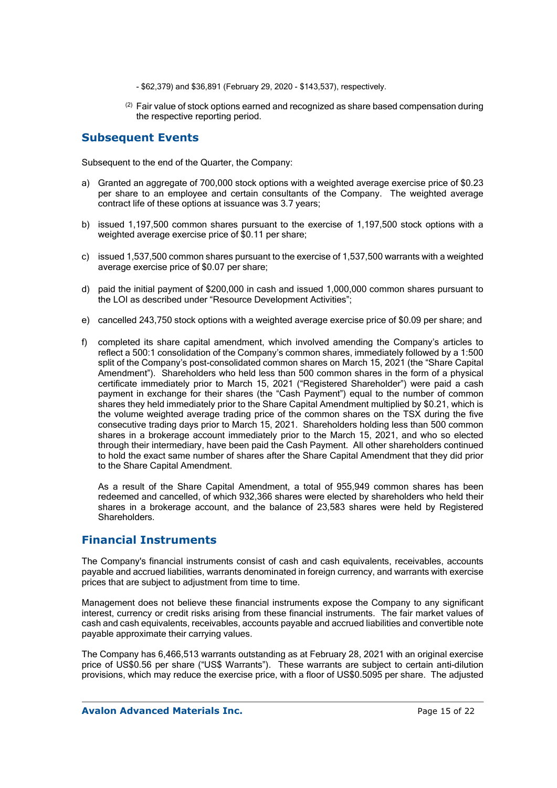- \$62,379) and \$36,891 (February 29, 2020 \$143,537), respectively.
- $(2)$  Fair value of stock options earned and recognized as share based compensation during the respective reporting period.

### **Subsequent Events**

Subsequent to the end of the Quarter, the Company:

- a) Granted an aggregate of 700,000 stock options with a weighted average exercise price of \$0.23 per share to an employee and certain consultants of the Company. The weighted average contract life of these options at issuance was 3.7 years;
- b) issued 1,197,500 common shares pursuant to the exercise of 1,197,500 stock options with a weighted average exercise price of \$0.11 per share;
- c) issued 1,537,500 common shares pursuant to the exercise of 1,537,500 warrants with a weighted average exercise price of \$0.07 per share;
- d) paid the initial payment of \$200,000 in cash and issued 1,000,000 common shares pursuant to the LOI as described under "Resource Development Activities";
- e) cancelled 243,750 stock options with a weighted average exercise price of \$0.09 per share; and
- f) completed its share capital amendment, which involved amending the Company's articles to reflect a 500:1 consolidation of the Company's common shares, immediately followed by a 1:500 split of the Company's post-consolidated common shares on March 15, 2021 (the "Share Capital Amendment"). Shareholders who held less than 500 common shares in the form of a physical certificate immediately prior to March 15, 2021 ("Registered Shareholder") were paid a cash payment in exchange for their shares (the "Cash Payment") equal to the number of common shares they held immediately prior to the Share Capital Amendment multiplied by \$0.21, which is the volume weighted average trading price of the common shares on the TSX during the five consecutive trading days prior to March 15, 2021. Shareholders holding less than 500 common shares in a brokerage account immediately prior to the March 15, 2021, and who so elected through their intermediary, have been paid the Cash Payment. All other shareholders continued to hold the exact same number of shares after the Share Capital Amendment that they did prior to the Share Capital Amendment.

As a result of the Share Capital Amendment, a total of 955,949 common shares has been redeemed and cancelled, of which 932,366 shares were elected by shareholders who held their shares in a brokerage account, and the balance of 23,583 shares were held by Registered Shareholders.

### **Financial Instruments**

The Company's financial instruments consist of cash and cash equivalents, receivables, accounts payable and accrued liabilities, warrants denominated in foreign currency, and warrants with exercise prices that are subject to adjustment from time to time.

Management does not believe these financial instruments expose the Company to any significant interest, currency or credit risks arising from these financial instruments. The fair market values of cash and cash equivalents, receivables, accounts payable and accrued liabilities and convertible note payable approximate their carrying values.

The Company has 6,466,513 warrants outstanding as at February 28, 2021 with an original exercise price of US\$0.56 per share ("US\$ Warrants"). These warrants are subject to certain anti-dilution provisions, which may reduce the exercise price, with a floor of US\$0.5095 per share. The adjusted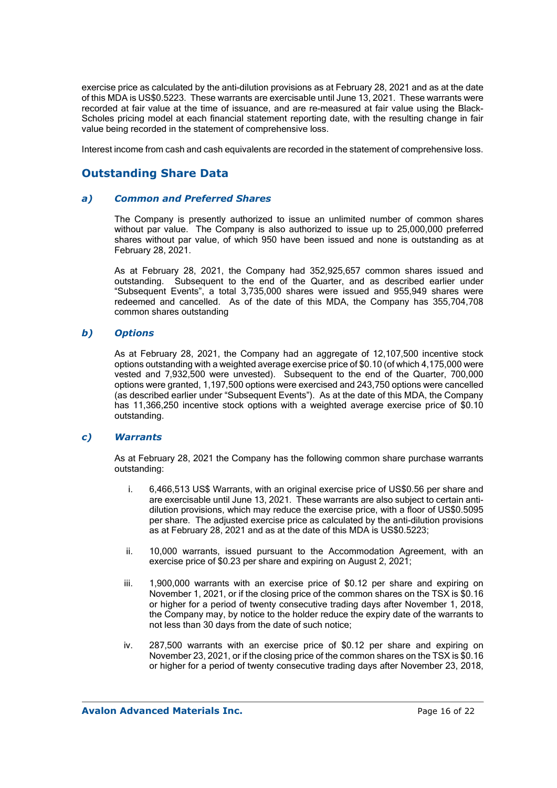exercise price as calculated by the anti-dilution provisions as at February 28, 2021 and as at the date of this MDA is US\$0.5223. These warrants are exercisable until June 13, 2021. These warrants were recorded at fair value at the time of issuance, and are re-measured at fair value using the Black-Scholes pricing model at each financial statement reporting date, with the resulting change in fair value being recorded in the statement of comprehensive loss.

Interest income from cash and cash equivalents are recorded in the statement of comprehensive loss.

## **Outstanding Share Data**

#### *a) Common and Preferred Shares*

The Company is presently authorized to issue an unlimited number of common shares without par value. The Company is also authorized to issue up to 25,000,000 preferred shares without par value, of which 950 have been issued and none is outstanding as at February 28, 2021.

As at February 28, 2021, the Company had 352,925,657 common shares issued and outstanding. Subsequent to the end of the Quarter, and as described earlier under "Subsequent Events", a total 3,735,000 shares were issued and 955,949 shares were redeemed and cancelled. As of the date of this MDA, the Company has 355,704,708 common shares outstanding

### *b) Options*

As at February 28, 2021, the Company had an aggregate of 12,107,500 incentive stock options outstanding with a weighted average exercise price of \$0.10 (of which 4,175,000 were vested and 7,932,500 were unvested). Subsequent to the end of the Quarter, 700,000 options were granted, 1,197,500 options were exercised and 243,750 options were cancelled (as described earlier under "Subsequent Events"). As at the date of this MDA, the Company has 11,366,250 incentive stock options with a weighted average exercise price of \$0.10 outstanding.

### *c) Warrants*

As at February 28, 2021 the Company has the following common share purchase warrants outstanding:

- i. 6,466,513 US\$ Warrants, with an original exercise price of US\$0.56 per share and are exercisable until June 13, 2021. These warrants are also subject to certain antidilution provisions, which may reduce the exercise price, with a floor of US\$0.5095 per share. The adjusted exercise price as calculated by the anti-dilution provisions as at February 28, 2021 and as at the date of this MDA is US\$0.5223;
- ii. 10,000 warrants, issued pursuant to the Accommodation Agreement, with an exercise price of \$0.23 per share and expiring on August 2, 2021;
- iii. 1,900,000 warrants with an exercise price of \$0.12 per share and expiring on November 1, 2021, or if the closing price of the common shares on the TSX is \$0.16 or higher for a period of twenty consecutive trading days after November 1, 2018, the Company may, by notice to the holder reduce the expiry date of the warrants to not less than 30 days from the date of such notice;
- iv. 287,500 warrants with an exercise price of \$0.12 per share and expiring on November 23, 2021, or if the closing price of the common shares on the TSX is \$0.16 or higher for a period of twenty consecutive trading days after November 23, 2018,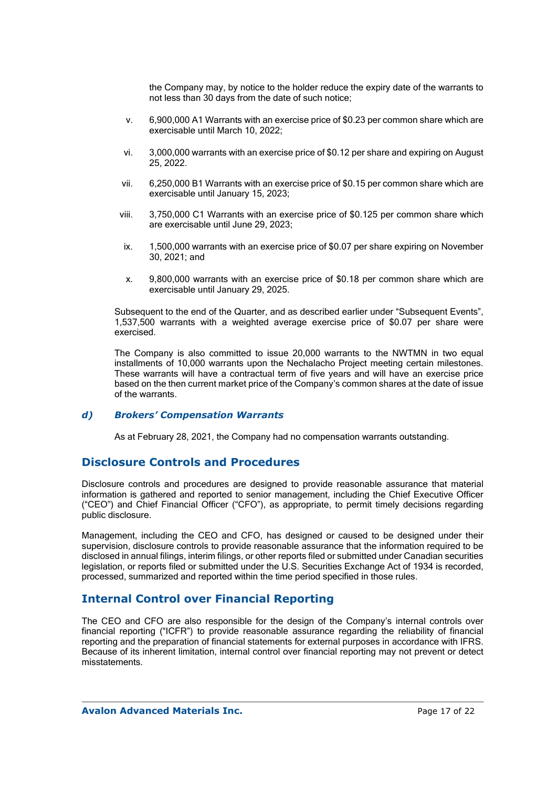the Company may, by notice to the holder reduce the expiry date of the warrants to not less than 30 days from the date of such notice;

- v. 6,900,000 A1 Warrants with an exercise price of \$0.23 per common share which are exercisable until March 10, 2022;
- vi. 3,000,000 warrants with an exercise price of \$0.12 per share and expiring on August 25, 2022.
- vii. 6,250,000 B1 Warrants with an exercise price of \$0.15 per common share which are exercisable until January 15, 2023;
- viii. 3,750,000 C1 Warrants with an exercise price of \$0.125 per common share which are exercisable until June 29, 2023;
- ix. 1,500,000 warrants with an exercise price of \$0.07 per share expiring on November 30, 2021; and
- x. 9,800,000 warrants with an exercise price of \$0.18 per common share which are exercisable until January 29, 2025.

Subsequent to the end of the Quarter, and as described earlier under "Subsequent Events", 1,537,500 warrants with a weighted average exercise price of \$0.07 per share were exercised.

The Company is also committed to issue 20,000 warrants to the NWTMN in two equal installments of 10,000 warrants upon the Nechalacho Project meeting certain milestones. These warrants will have a contractual term of five years and will have an exercise price based on the then current market price of the Company's common shares at the date of issue of the warrants.

### *d) Brokers' Compensation Warrants*

As at February 28, 2021, the Company had no compensation warrants outstanding.

### **Disclosure Controls and Procedures**

Disclosure controls and procedures are designed to provide reasonable assurance that material information is gathered and reported to senior management, including the Chief Executive Officer ("CEO") and Chief Financial Officer ("CFO"), as appropriate, to permit timely decisions regarding public disclosure.

Management, including the CEO and CFO, has designed or caused to be designed under their supervision, disclosure controls to provide reasonable assurance that the information required to be disclosed in annual filings, interim filings, or other reports filed or submitted under Canadian securities legislation, or reports filed or submitted under the U.S. Securities Exchange Act of 1934 is recorded, processed, summarized and reported within the time period specified in those rules.

## **Internal Control over Financial Reporting**

The CEO and CFO are also responsible for the design of the Company's internal controls over financial reporting ("ICFR") to provide reasonable assurance regarding the reliability of financial reporting and the preparation of financial statements for external purposes in accordance with IFRS. Because of its inherent limitation, internal control over financial reporting may not prevent or detect misstatements.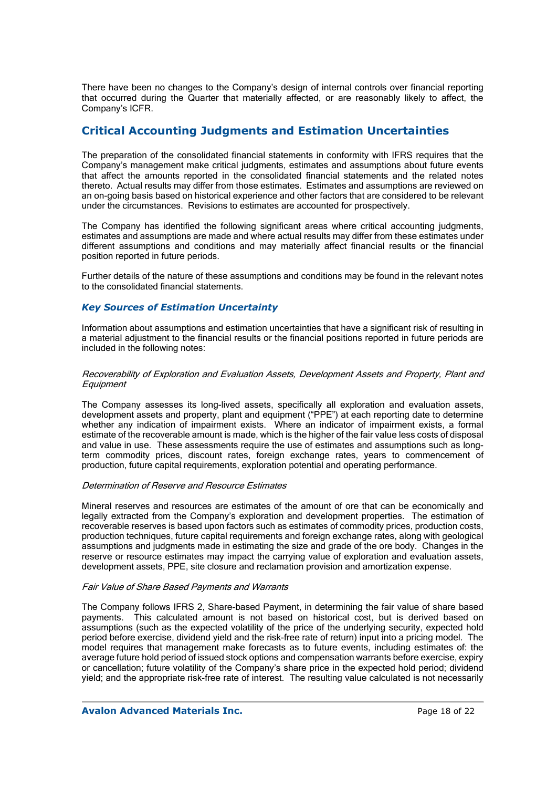There have been no changes to the Company's design of internal controls over financial reporting that occurred during the Quarter that materially affected, or are reasonably likely to affect, the Company's ICFR.

# **Critical Accounting Judgments and Estimation Uncertainties**

The preparation of the consolidated financial statements in conformity with IFRS requires that the Company's management make critical judgments, estimates and assumptions about future events that affect the amounts reported in the consolidated financial statements and the related notes thereto. Actual results may differ from those estimates. Estimates and assumptions are reviewed on an on-going basis based on historical experience and other factors that are considered to be relevant under the circumstances. Revisions to estimates are accounted for prospectively.

The Company has identified the following significant areas where critical accounting judgments, estimates and assumptions are made and where actual results may differ from these estimates under different assumptions and conditions and may materially affect financial results or the financial position reported in future periods.

Further details of the nature of these assumptions and conditions may be found in the relevant notes to the consolidated financial statements.

### *Key Sources of Estimation Uncertainty*

Information about assumptions and estimation uncertainties that have a significant risk of resulting in a material adjustment to the financial results or the financial positions reported in future periods are included in the following notes:

#### Recoverability of Exploration and Evaluation Assets, Development Assets and Property, Plant and **Equipment**

The Company assesses its long-lived assets, specifically all exploration and evaluation assets, development assets and property, plant and equipment ("PPE") at each reporting date to determine whether any indication of impairment exists. Where an indicator of impairment exists, a formal estimate of the recoverable amount is made, which is the higher of the fair value less costs of disposal and value in use. These assessments require the use of estimates and assumptions such as longterm commodity prices, discount rates, foreign exchange rates, years to commencement of production, future capital requirements, exploration potential and operating performance.

#### Determination of Reserve and Resource Estimates

Mineral reserves and resources are estimates of the amount of ore that can be economically and legally extracted from the Company's exploration and development properties. The estimation of recoverable reserves is based upon factors such as estimates of commodity prices, production costs, production techniques, future capital requirements and foreign exchange rates, along with geological assumptions and judgments made in estimating the size and grade of the ore body. Changes in the reserve or resource estimates may impact the carrying value of exploration and evaluation assets, development assets, PPE, site closure and reclamation provision and amortization expense.

#### Fair Value of Share Based Payments and Warrants

The Company follows IFRS 2, Share-based Payment, in determining the fair value of share based payments. This calculated amount is not based on historical cost, but is derived based on assumptions (such as the expected volatility of the price of the underlying security, expected hold period before exercise, dividend yield and the risk-free rate of return) input into a pricing model. The model requires that management make forecasts as to future events, including estimates of: the average future hold period of issued stock options and compensation warrants before exercise, expiry or cancellation; future volatility of the Company's share price in the expected hold period; dividend yield; and the appropriate risk-free rate of interest. The resulting value calculated is not necessarily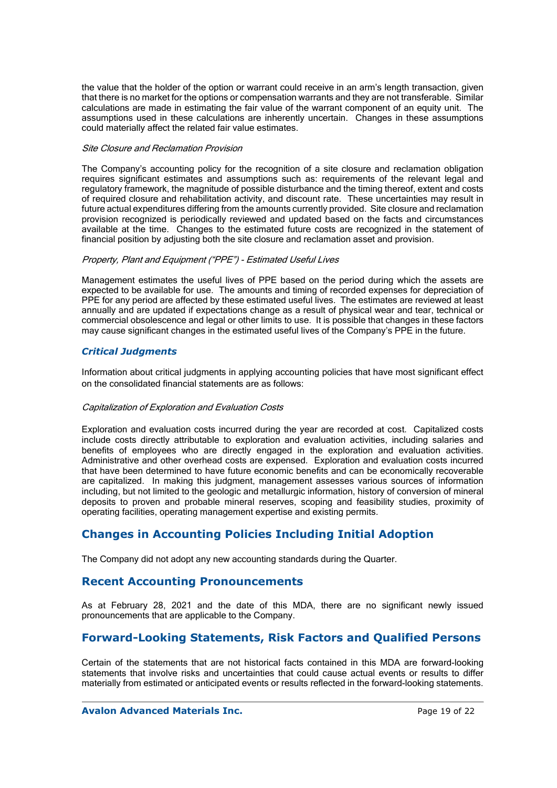the value that the holder of the option or warrant could receive in an arm's length transaction, given that there is no market for the options or compensation warrants and they are not transferable. Similar calculations are made in estimating the fair value of the warrant component of an equity unit. The assumptions used in these calculations are inherently uncertain. Changes in these assumptions could materially affect the related fair value estimates.

#### Site Closure and Reclamation Provision

The Company's accounting policy for the recognition of a site closure and reclamation obligation requires significant estimates and assumptions such as: requirements of the relevant legal and regulatory framework, the magnitude of possible disturbance and the timing thereof, extent and costs of required closure and rehabilitation activity, and discount rate. These uncertainties may result in future actual expenditures differing from the amounts currently provided. Site closure and reclamation provision recognized is periodically reviewed and updated based on the facts and circumstances available at the time. Changes to the estimated future costs are recognized in the statement of financial position by adjusting both the site closure and reclamation asset and provision.

#### Property, Plant and Equipment ("PPE") - Estimated Useful Lives

Management estimates the useful lives of PPE based on the period during which the assets are expected to be available for use. The amounts and timing of recorded expenses for depreciation of PPE for any period are affected by these estimated useful lives. The estimates are reviewed at least annually and are updated if expectations change as a result of physical wear and tear, technical or commercial obsolescence and legal or other limits to use. It is possible that changes in these factors may cause significant changes in the estimated useful lives of the Company's PPE in the future.

### *Critical Judgments*

Information about critical judgments in applying accounting policies that have most significant effect on the consolidated financial statements are as follows:

#### Capitalization of Exploration and Evaluation Costs

Exploration and evaluation costs incurred during the year are recorded at cost. Capitalized costs include costs directly attributable to exploration and evaluation activities, including salaries and benefits of employees who are directly engaged in the exploration and evaluation activities. Administrative and other overhead costs are expensed. Exploration and evaluation costs incurred that have been determined to have future economic benefits and can be economically recoverable are capitalized. In making this judgment, management assesses various sources of information including, but not limited to the geologic and metallurgic information, history of conversion of mineral deposits to proven and probable mineral reserves, scoping and feasibility studies, proximity of operating facilities, operating management expertise and existing permits.

# **Changes in Accounting Policies Including Initial Adoption**

The Company did not adopt any new accounting standards during the Quarter.

### **Recent Accounting Pronouncements**

As at February 28, 2021 and the date of this MDA, there are no significant newly issued pronouncements that are applicable to the Company.

# **Forward-Looking Statements, Risk Factors and Qualified Persons**

Certain of the statements that are not historical facts contained in this MDA are forward-looking statements that involve risks and uncertainties that could cause actual events or results to differ materially from estimated or anticipated events or results reflected in the forward-looking statements.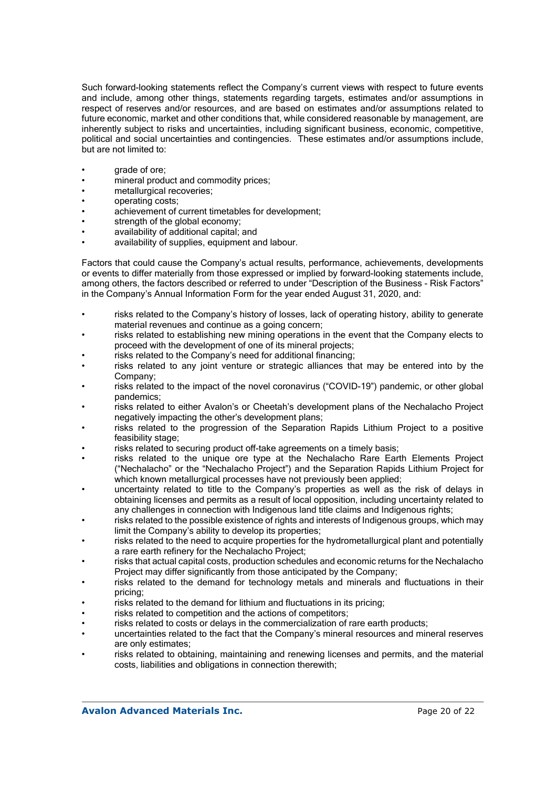Such forward-looking statements reflect the Company's current views with respect to future events and include, among other things, statements regarding targets, estimates and/or assumptions in respect of reserves and/or resources, and are based on estimates and/or assumptions related to future economic, market and other conditions that, while considered reasonable by management, are inherently subject to risks and uncertainties, including significant business, economic, competitive, political and social uncertainties and contingencies. These estimates and/or assumptions include, but are not limited to:

- qrade of ore;
- mineral product and commodity prices;
- metallurgical recoveries;
- operating costs;
- achievement of current timetables for development;
- strength of the global economy:
- availability of additional capital; and
- availability of supplies, equipment and labour.

Factors that could cause the Company's actual results, performance, achievements, developments or events to differ materially from those expressed or implied by forward-looking statements include, among others, the factors described or referred to under "Description of the Business - Risk Factors" in the Company's Annual Information Form for the year ended August 31, 2020, and:

- risks related to the Company's history of losses, lack of operating history, ability to generate material revenues and continue as a going concern;
- risks related to establishing new mining operations in the event that the Company elects to proceed with the development of one of its mineral projects;
- risks related to the Company's need for additional financing;
- risks related to any joint venture or strategic alliances that may be entered into by the Company;
- risks related to the impact of the novel coronavirus ("COVID-19") pandemic, or other global pandemics;
- risks related to either Avalon's or Cheetah's development plans of the Nechalacho Project negatively impacting the other's development plans;
- risks related to the progression of the Separation Rapids Lithium Project to a positive feasibility stage:
- risks related to securing product off-take agreements on a timely basis;
- risks related to the unique ore type at the Nechalacho Rare Earth Elements Project ("Nechalacho" or the "Nechalacho Project") and the Separation Rapids Lithium Project for which known metallurgical processes have not previously been applied;
- uncertainty related to title to the Company's properties as well as the risk of delays in obtaining licenses and permits as a result of local opposition, including uncertainty related to any challenges in connection with Indigenous land title claims and Indigenous rights;
- risks related to the possible existence of rights and interests of Indigenous groups, which may limit the Company's ability to develop its properties;
- risks related to the need to acquire properties for the hydrometallurgical plant and potentially a rare earth refinery for the Nechalacho Project;
- risks that actual capital costs, production schedules and economic returns for the Nechalacho Project may differ significantly from those anticipated by the Company;
- risks related to the demand for technology metals and minerals and fluctuations in their pricing;
- risks related to the demand for lithium and fluctuations in its pricing;
- risks related to competition and the actions of competitors;
- risks related to costs or delays in the commercialization of rare earth products;
- uncertainties related to the fact that the Company's mineral resources and mineral reserves are only estimates;
- risks related to obtaining, maintaining and renewing licenses and permits, and the material costs, liabilities and obligations in connection therewith;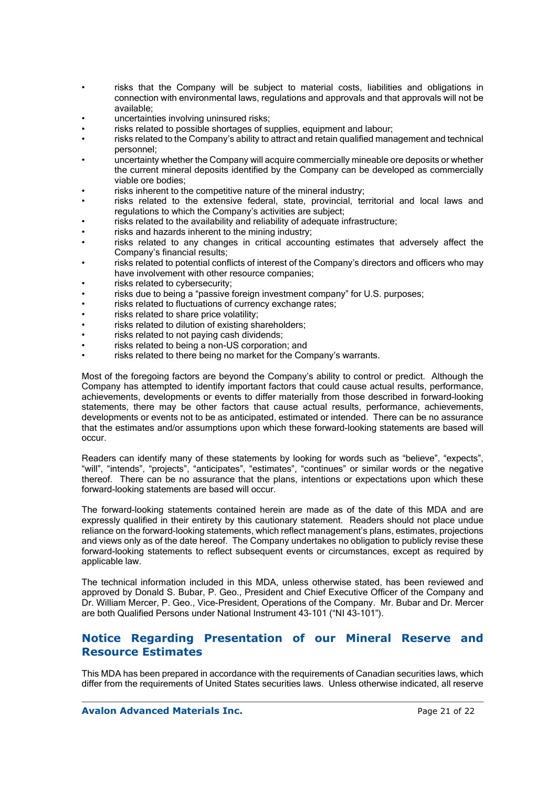- risks that the Company will be subject to material costs, liabilities and obligations in connection with environmental laws, regulations and approvals and that approvals will not be available;
- uncertainties involving uninsured risks;
- risks related to possible shortages of supplies, equipment and labour;
- risks related to the Company's ability to attract and retain qualified management and technical personnel;
- uncertainty whether the Company will acquire commercially mineable ore deposits or whether the current mineral deposits identified by the Company can be developed as commercially viable ore bodies;
- risks inherent to the competitive nature of the mineral industry:
- risks related to the extensive federal, state, provincial, territorial and local laws and regulations to which the Company's activities are subject;
- risks related to the availability and reliability of adequate infrastructure;
- risks and hazards inherent to the mining industry;
- risks related to any changes in critical accounting estimates that adversely affect the Company's financial results;
- risks related to potential conflicts of interest of the Company's directors and officers who may have involvement with other resource companies;
- risks related to cybersecurity;
- risks due to being a "passive foreign investment company" for U.S. purposes;
- risks related to fluctuations of currency exchange rates;
- risks related to share price volatility;
- risks related to dilution of existing shareholders;
- risks related to not paying cash dividends;
- risks related to being a non-US corporation; and
- risks related to there being no market for the Company's warrants.

Most of the foregoing factors are beyond the Company's ability to control or predict. Although the Company has attempted to identify important factors that could cause actual results, performance, achievements, developments or events to differ materially from those described in forward-looking statements, there may be other factors that cause actual results, performance, achievements, developments or events not to be as anticipated, estimated or intended. There can be no assurance that the estimates and/or assumptions upon which these forward-looking statements are based will occur.

Readers can identify many of these statements by looking for words such as "believe", "expects", "will", "intends", "projects", "anticipates", "estimates", "continues" or similar words or the negative thereof. There can be no assurance that the plans, intentions or expectations upon which these forward-looking statements are based will occur.

The forward-looking statements contained herein are made as of the date of this MDA and are expressly qualified in their entirety by this cautionary statement. Readers should not place undue reliance on the forward-looking statements, which reflect management's plans, estimates, projections and views only as of the date hereof. The Company undertakes no obligation to publicly revise these forward-looking statements to reflect subsequent events or circumstances, except as required by applicable law.

The technical information included in this MDA, unless otherwise stated, has been reviewed and approved by Donald S. Bubar, P. Geo., President and Chief Executive Officer of the Company and Dr. William Mercer, P. Geo., Vice-President, Operations of the Company. Mr. Bubar and Dr. Mercer are both Qualified Persons under National Instrument 43-101 ("NI 43-101").

## **Notice Regarding Presentation of our Mineral Reserve and Resource Estimates**

This MDA has been prepared in accordance with the requirements of Canadian securities laws, which differ from the requirements of United States securities laws. Unless otherwise indicated, all reserve